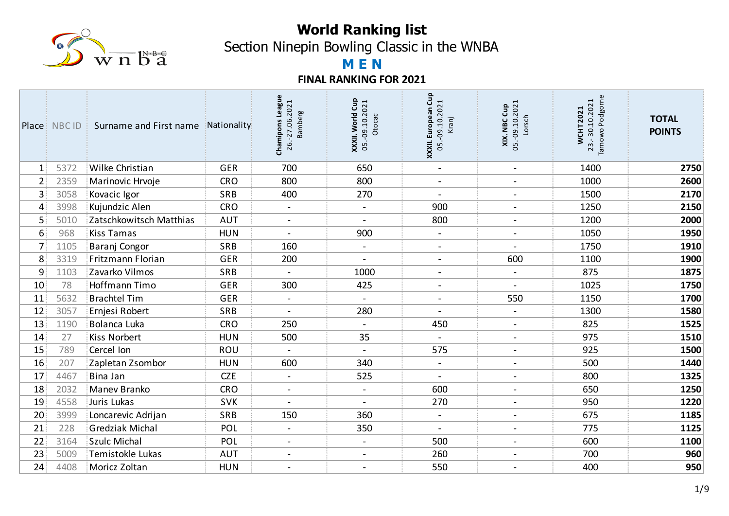

Section Ninepin Bowling Classic in the WNBA

# **M E N**

|                   | <b>Place: NBCID</b> | Surname and First name<br>-81 | Nationality | Chamipons League<br>26.-27.06.2021<br><b>Bamberg</b> | Cup<br>05.-09.10.2021<br>XXXII. World<br>Otocac | g<br>U<br>05.-09.10.2021<br>XXXII. European<br>Kranj | 05.-09.10.2021<br>XIX. NBC Cup<br>Lorsch | Podgorne<br>23.-30.10.2021<br><b>WCHT2021</b><br>Tarnowo | <b>TOTAL</b><br><b>POINTS</b> |
|-------------------|---------------------|-------------------------------|-------------|------------------------------------------------------|-------------------------------------------------|------------------------------------------------------|------------------------------------------|----------------------------------------------------------|-------------------------------|
| $\mathbf{1}$ :    | 5372                | Wilke Christian               | <b>GER</b>  | 700                                                  | 650                                             | $\blacksquare$                                       | $\blacksquare$                           | 1400                                                     | 2750                          |
| $2^{\frac{1}{2}}$ | 2359                | Marinovic Hrvoje              | <b>CRO</b>  | 800                                                  | 800                                             | $\blacksquare$                                       | $\blacksquare$                           | 1000                                                     | 2600                          |
| 3                 | 3058                | Kovacic Igor                  | SRB         | 400                                                  | 270                                             | $\blacksquare$                                       | $\blacksquare$                           | 1500                                                     | 2170                          |
| 4                 | 3998                | Kujundzic Alen                | <b>CRO</b>  | $\blacksquare$                                       |                                                 | 900                                                  | $\blacksquare$                           | 1250                                                     | 2150                          |
| 5                 | 5010                | Zatschkowitsch Matthias       | <b>AUT</b>  | $\blacksquare$                                       | $\blacksquare$                                  | 800                                                  | $\blacksquare$                           | 1200                                                     | 2000                          |
| 6                 | 968                 | Kiss Tamas                    | <b>HUN</b>  |                                                      | 900                                             | $\blacksquare$                                       | $\blacksquare$                           | 1050                                                     | 1950                          |
| 7                 | 1105                | Baranj Congor                 | <b>SRB</b>  | 160                                                  | $\blacksquare$                                  | $\blacksquare$                                       | $\sim$                                   | 1750                                                     | 1910                          |
| 8                 | 3319                | Fritzmann Florian             | <b>GER</b>  | 200                                                  |                                                 | $\blacksquare$                                       | 600                                      | 1100                                                     | 1900                          |
| 9                 | 1103                | Zavarko Vilmos                | <b>SRB</b>  | $\blacksquare$                                       | 1000                                            | $\blacksquare$                                       | $\blacksquare$                           | 875                                                      | 1875                          |
| 10                | 78                  | <b>Hoffmann Timo</b>          | <b>GER</b>  | 300                                                  | 425                                             | $\overline{\phantom{a}}$                             |                                          | 1025                                                     | 1750                          |
| 11                | 5632                | <b>Brachtel Tim</b>           | <b>GER</b>  | $\blacksquare$                                       | $\blacksquare$                                  | $\blacksquare$                                       | 550                                      | 1150                                                     | 1700                          |
| 12                | 3057                | Ernjesi Robert                | SRB         |                                                      | 280                                             | $\overline{\phantom{0}}$                             | $\blacksquare$                           | 1300                                                     | 1580                          |
| 13                | 1190                | Bolanca Luka                  | <b>CRO</b>  | 250                                                  | $\blacksquare$                                  | 450                                                  | $\blacksquare$                           | 825                                                      | 1525                          |
| 14                | 27                  | <b>Kiss Norbert</b>           | <b>HUN</b>  | 500                                                  | 35                                              |                                                      | $\blacksquare$                           | 975                                                      | 1510                          |
| 15                | 789                 | Cercel Ion                    | ROU         | $\blacksquare$                                       | $\blacksquare$                                  | 575                                                  | $\overline{\phantom{a}}$                 | 925                                                      | 1500                          |
| 16                | 207                 | Zapletan Zsombor              | <b>HUN</b>  | 600                                                  | 340                                             | $\overline{\phantom{a}}$                             | $\overline{\phantom{a}}$                 | 500                                                      | 1440                          |
| 17                | 4467                | Bina Jan                      | <b>CZE</b>  | $\blacksquare$                                       | 525                                             | $\blacksquare$                                       | $\blacksquare$                           | 800                                                      | 1325                          |
| 18                | 2032                | Manev Branko                  | <b>CRO</b>  | $\overline{\phantom{a}}$                             | $\overline{\phantom{a}}$                        | 600                                                  | $\blacksquare$                           | 650                                                      | 1250                          |
| 19                | 4558                | Juris Lukas                   | <b>SVK</b>  | $\blacksquare$                                       | $\blacksquare$                                  | 270                                                  | $\frac{1}{2}$                            | 950                                                      | 1220                          |
| 20                | 3999                | Loncarevic Adrijan            | <b>SRB</b>  | 150                                                  | 360                                             | $\blacksquare$                                       | $\overline{\phantom{a}}$                 | 675                                                      | 1185                          |
| 21                | 228                 | <b>Gredziak Michal</b>        | POL         | $\blacksquare$                                       | 350                                             | $\overline{\phantom{a}}$                             | $\overline{\phantom{a}}$                 | 775                                                      | 1125                          |
| 22                | 3164                | <b>Szulc Michal</b>           | POL         | $\blacksquare$                                       | $\blacksquare$                                  | 500                                                  | $\blacksquare$                           | 600                                                      | 1100                          |
| 23                | 5009                | Temistokle Lukas              | <b>AUT</b>  | $\overline{\phantom{0}}$                             | $\blacksquare$                                  | 260                                                  | $\blacksquare$                           | 700                                                      | 960                           |
| 24                | 4408                | Moricz Zoltan                 | <b>HUN</b>  | $\overline{\phantom{a}}$                             | $\blacksquare$                                  | 550                                                  | $\blacksquare$                           | 400                                                      | 950                           |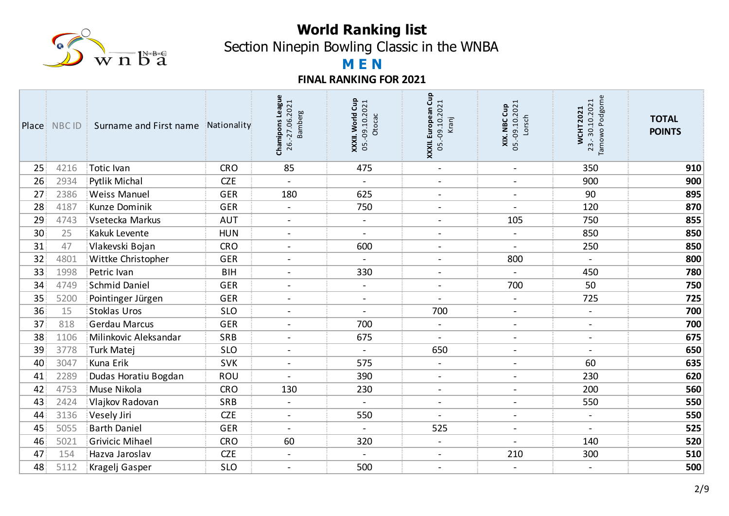

Section Ninepin Bowling Classic in the WNBA

# **M E N**

|                 | <b>Place: NBCID:</b> | Surname and First name | Nationality | Chamipons League<br>26.-27.06.2021<br><b>Bamberg</b> | Gup<br>05.-09.10.2021<br>XXXII. World<br>Otocac | XXXII. European Cup<br>05.-09.10.2021<br>Kranj | <b>XIX. NBC Cup</b><br>05.-09.10.2021<br>Lorsch | Podgorne<br>23.-30.10.2021<br><b>WCHT2021</b><br>Tarnowo | <b>TOTAL</b><br><b>POINTS</b> |
|-----------------|----------------------|------------------------|-------------|------------------------------------------------------|-------------------------------------------------|------------------------------------------------|-------------------------------------------------|----------------------------------------------------------|-------------------------------|
| 25              | 4216                 | Totic Ivan             | <b>CRO</b>  | 85                                                   | 475                                             | $\blacksquare$                                 | $\blacksquare$                                  | 350                                                      | 910                           |
| 26              | 2934                 | <b>Pytlik Michal</b>   | <b>CZE</b>  |                                                      |                                                 | $\overline{\phantom{a}}$                       | $\blacksquare$                                  | 900                                                      | 900                           |
| 27              | 2386                 | <b>Weiss Manuel</b>    | <b>GER</b>  | 180                                                  | 625                                             | $\blacksquare$                                 | $\blacksquare$                                  | 90                                                       | 895                           |
| 28              | 4187                 | Kunze Dominik          | <b>GER</b>  | $\overline{\phantom{a}}$                             | 750                                             | $\overline{\phantom{0}}$                       | $\overline{\phantom{a}}$                        | 120                                                      | 870                           |
| 29              | 4743                 | Vsetecka Markus        | <b>AUT</b>  | $\overline{\phantom{a}}$                             | $\blacksquare$                                  | $\blacksquare$                                 | 105                                             | 750                                                      | 855                           |
| 30 <sup>3</sup> | 25                   | Kakuk Levente          | <b>HUN</b>  | $\overline{\phantom{0}}$                             | $\blacksquare$                                  | $\overline{\phantom{0}}$                       | $\blacksquare$                                  | 850                                                      | 850                           |
| 31              | 47                   | Vlakevski Bojan        | <b>CRO</b>  | $\blacksquare$                                       | 600                                             | $\blacksquare$                                 | $\overline{\phantom{a}}$                        | 250                                                      | 850                           |
| 32              | 4801                 | Wittke Christopher     | <b>GER</b>  | $\overline{a}$                                       |                                                 | $\blacksquare$                                 | 800                                             | $\blacksquare$                                           | 800                           |
| 33              | 1998                 | Petric Ivan            | <b>BIH</b>  | $\blacksquare$                                       | 330                                             | $\blacksquare$                                 | $\blacksquare$                                  | 450                                                      | 780                           |
| 34              | 4749                 | Schmid Daniel          | <b>GER</b>  | $\overline{\phantom{a}}$                             | $\overline{\phantom{a}}$                        | $\overline{\phantom{a}}$                       | 700                                             | 50                                                       | 750                           |
| 35              | 5200                 | Pointinger Jürgen      | <b>GER</b>  | $\blacksquare$                                       | $\sim$                                          | $\blacksquare$                                 | $\blacksquare$                                  | 725                                                      | 725                           |
| 36 <sup>2</sup> | 15                   | Stoklas Uros           | <b>SLO</b>  |                                                      |                                                 | 700                                            | $\sim$                                          | $\sim$                                                   | 700                           |
| 37              | 818                  | Gerdau Marcus          | <b>GER</b>  | $\blacksquare$                                       | 700                                             | $\blacksquare$                                 | $\overline{\phantom{a}}$                        | $\blacksquare$                                           | 700                           |
| 38              | 1106                 | Milinkovic Aleksandar  | <b>SRB</b>  | $\overline{\phantom{0}}$                             | 675                                             | $\overline{a}$                                 | $\blacksquare$                                  | $\blacksquare$                                           | 675                           |
| 39              | 3778                 | Turk Matej             | <b>SLO</b>  | $\sim$                                               | $\blacksquare$                                  | 650                                            | $\blacksquare$                                  | $\overline{\phantom{a}}$                                 | 650                           |
| 40              | 3047                 | Kuna Erik              | <b>SVK</b>  | $\overline{\phantom{a}}$                             | 575                                             | $\blacksquare$                                 | $\overline{\phantom{a}}$                        | 60                                                       | 635                           |
| 41              | 2289                 | Dudas Horatiu Bogdan   | ROU         | $\blacksquare$                                       | 390                                             | $\overline{\phantom{a}}$                       | $\blacksquare$                                  | 230                                                      | 620                           |
| 42              | 4753                 | Muse Nikola            | <b>CRO</b>  | 130                                                  | 230                                             | $\overline{\phantom{a}}$                       | $\blacksquare$                                  | 200                                                      | 560                           |
| 43              | 2424                 | Vlajkov Radovan        | SRB         |                                                      | $\overline{\phantom{0}}$                        | $\overline{\phantom{a}}$                       | $\overline{\phantom{a}}$                        | 550                                                      | 550                           |
| 44              | 3136                 | Vesely Jiri            | <b>CZE</b>  | $\overline{\phantom{a}}$                             | 550                                             |                                                | $\overline{\phantom{a}}$                        | $\blacksquare$                                           | 550                           |
| 45              | 5055                 | <b>Barth Daniel</b>    | <b>GER</b>  | $\overline{\phantom{0}}$                             | $\overline{\phantom{a}}$                        | 525                                            | $\overline{\phantom{a}}$                        | $\overline{\phantom{a}}$                                 | 525                           |
| 46              | 5021                 | <b>Grivicic Mihael</b> | <b>CRO</b>  | 60                                                   | 320                                             | $\blacksquare$                                 | $\blacksquare$                                  | 140                                                      | 520                           |
| 47              | 154                  | Hazva Jaroslav         | <b>CZE</b>  | $\blacksquare$                                       | $\overline{a}$                                  | $\blacksquare$                                 | 210                                             | 300                                                      | 510                           |
| 48              | 5112                 | Kragelj Gasper         | <b>SLO</b>  | $\overline{\phantom{a}}$                             | 500                                             | $\overline{\phantom{a}}$                       | $\overline{\phantom{a}}$                        |                                                          | 500                           |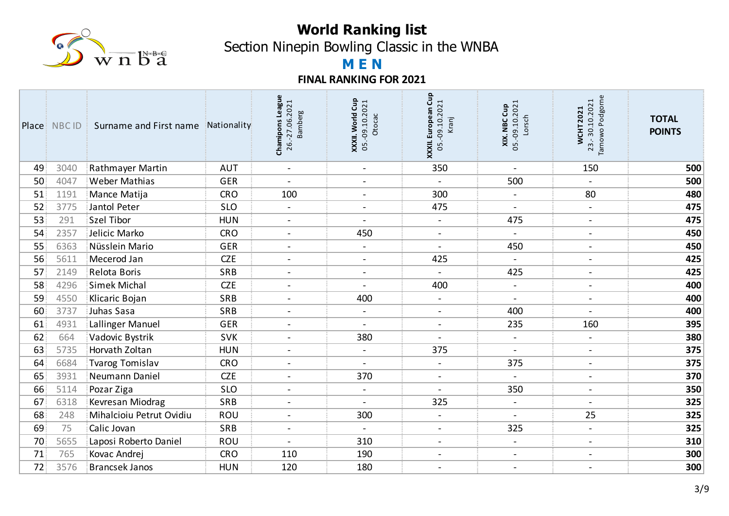

Section Ninepin Bowling Classic in the WNBA

# **M E N**

|    | Place NBC ID i | Surname and First name   | Nationality | Chamipons League<br>26.-27.06.2021<br><b>Bamberg</b> | Gup<br>05.-09.10.2021<br><b>World</b><br>Otocac<br>$X$ $X$ $X$ $II$ . | Gup<br>05.-09.10.2021<br>XXXII. European<br>Kranj | <b>XIX. NBC Cup</b><br>05.-09.10.2021<br>Lorsch | Podgorne<br>23.-30.10.2021<br><b>WCHT2021</b><br>Tarnowo | <b>TOTAL</b><br><b>POINTS</b> |
|----|----------------|--------------------------|-------------|------------------------------------------------------|-----------------------------------------------------------------------|---------------------------------------------------|-------------------------------------------------|----------------------------------------------------------|-------------------------------|
| 49 | 3040           | Rathmayer Martin         | <b>AUT</b>  | $\blacksquare$                                       | $\blacksquare$                                                        | 350                                               | $\blacksquare$                                  | 150                                                      | 500                           |
| 50 | 4047           | <b>Weber Mathias</b>     | <b>GER</b>  | $\blacksquare$                                       | $\qquad \qquad -$                                                     |                                                   | 500                                             |                                                          | 500                           |
| 51 | 1191           | Mance Matija             | <b>CRO</b>  | 100                                                  | $\blacksquare$                                                        | 300                                               | $\blacksquare$                                  | 80                                                       | 480                           |
| 52 | 3775           | Jantol Peter             | <b>SLO</b>  | $\blacksquare$                                       | $\overline{\phantom{0}}$                                              | 475                                               | $\blacksquare$                                  | $\blacksquare$                                           | 475                           |
| 53 | 291            | Szel Tibor               | <b>HUN</b>  | $\blacksquare$                                       | $\blacksquare$                                                        | $\blacksquare$                                    | 475                                             | $\blacksquare$                                           | 475                           |
| 54 | 2357           | Jelicic Marko            | <b>CRO</b>  | $\blacksquare$                                       | 450                                                                   | $\overline{\phantom{a}}$                          |                                                 | $\overline{\phantom{a}}$                                 | 450                           |
| 55 | 6363           | Nüsslein Mario           | <b>GER</b>  | $\blacksquare$                                       | $\blacksquare$                                                        | $\overline{a}$                                    | 450                                             | $\blacksquare$                                           | 450                           |
| 56 | 5611           | Mecerod Jan              | <b>CZE</b>  | $\blacksquare$                                       | $\blacksquare$                                                        | 425                                               | $\blacksquare$                                  | $\blacksquare$                                           | 425                           |
| 57 | 2149           | Relota Boris             | SRB         | $\overline{\phantom{a}}$                             | $\blacksquare$                                                        | $\blacksquare$                                    | 425                                             | $\overline{\phantom{a}}$                                 | 425                           |
| 58 | 4296           | Simek Michal             | <b>CZE</b>  | $\overline{a}$                                       | $\overline{a}$                                                        | 400                                               | $\blacksquare$                                  | $\blacksquare$                                           | 400                           |
| 59 | 4550           | Klicaric Bojan           | SRB         | $\blacksquare$                                       | 400                                                                   | $\blacksquare$                                    | $\blacksquare$                                  | $\overline{\phantom{a}}$                                 | 400                           |
| 60 | 3737           | Juhas Sasa               | SRB         |                                                      | $\overline{\phantom{0}}$                                              | $\blacksquare$                                    | 400                                             |                                                          | 400                           |
| 61 | 4931           | Lallinger Manuel         | <b>GER</b>  | $\overline{\phantom{0}}$                             | $\blacksquare$                                                        | $\blacksquare$                                    | 235                                             | 160                                                      | 395                           |
| 62 | 664            | Vadovic Bystrik          | <b>SVK</b>  | $\overline{\phantom{a}}$                             | 380                                                                   | $\overline{\phantom{a}}$                          | $\blacksquare$                                  | $\qquad \qquad \blacksquare$                             | 380                           |
| 63 | 5735           | Horvath Zoltan           | <b>HUN</b>  | $\blacksquare$                                       | $\overline{\phantom{0}}$                                              | 375                                               | $\overline{\phantom{a}}$                        | $\overline{\phantom{a}}$                                 | 375                           |
| 64 | 6684           | Tvarog Tomislav          | <b>CRO</b>  | $\blacksquare$                                       |                                                                       | $\overline{\phantom{a}}$                          | 375                                             | $\overline{\phantom{a}}$                                 | 375                           |
| 65 | 3931           | Neumann Daniel           | <b>CZE</b>  | $\blacksquare$                                       | 370                                                                   | $\overline{\phantom{a}}$                          | $\blacksquare$                                  | $\blacksquare$                                           | 370                           |
| 66 | 5114           | Pozar Ziga               | <b>SLO</b>  | $\overline{\phantom{a}}$                             | $\overline{\phantom{a}}$                                              | $\blacksquare$                                    | 350                                             | $\qquad \qquad \blacksquare$                             | 350                           |
| 67 | 6318           | Kevresan Miodrag         | SRB         | $\blacksquare$                                       | $\sim$                                                                | 325                                               | $\blacksquare$                                  | $\blacksquare$                                           | 325                           |
| 68 | 248            | Mihalcioiu Petrut Ovidiu | ROU         | $\qquad \qquad -$                                    | 300                                                                   | $\overline{\phantom{a}}$                          |                                                 | 25                                                       | 325                           |
| 69 | 75             | Calic Jovan              | SRB         | $\qquad \qquad -$                                    | $\overline{\phantom{a}}$                                              | $\blacksquare$                                    | 325                                             | $\blacksquare$                                           | 325                           |
| 70 | 5655           | Laposi Roberto Daniel    | ROU         | $\overline{\phantom{a}}$                             | 310                                                                   | $\blacksquare$                                    | $\blacksquare$                                  | $\qquad \qquad -$                                        | 310                           |
| 71 | 765            | Kovac Andrej             | <b>CRO</b>  | 110                                                  | 190                                                                   | $\blacksquare$                                    | $\blacksquare$                                  | $\blacksquare$                                           | 300                           |
| 72 | 3576           | <b>Brancsek Janos</b>    | <b>HUN</b>  | 120                                                  | 180                                                                   | $\blacksquare$                                    | $\blacksquare$                                  | $\overline{\phantom{a}}$                                 | 300                           |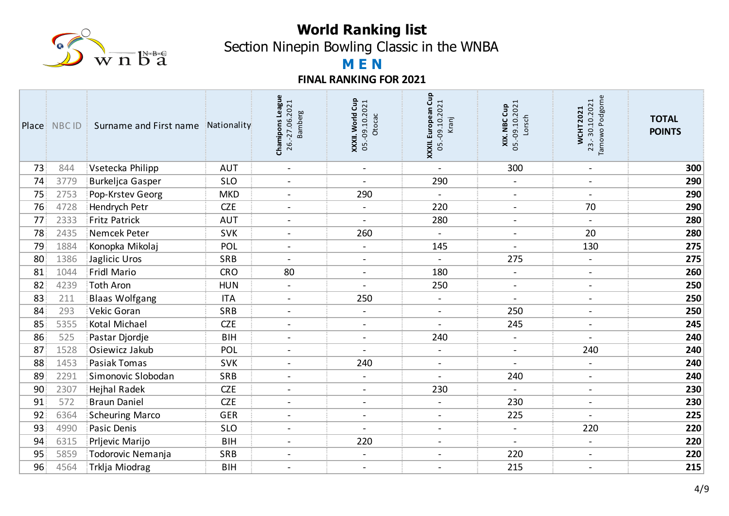

Section Ninepin Bowling Classic in the WNBA

# **M E N**

|                 | Place: NBCID | Surname and First name<br>з. | Nationality | Chamipons League<br>26.-27.06.2021<br><b>Bamberg</b> | Gup<br>05.-09.10.2021<br>XXXII. World<br>Otocac | XXXII. European Cup<br>05.-09.10.2021<br>Kranj | <b>XIX. NBC Cup</b><br>05.-09.10.2021<br>Lorsch | Podgorne<br>23.-30.10.2021<br><b>WCHT2021</b><br>Tarnowo | <b>TOTAL</b><br><b>POINTS</b> |
|-----------------|--------------|------------------------------|-------------|------------------------------------------------------|-------------------------------------------------|------------------------------------------------|-------------------------------------------------|----------------------------------------------------------|-------------------------------|
| 73              | 844          | Vsetecka Philipp             | <b>AUT</b>  | $\blacksquare$                                       | $\blacksquare$                                  | $\blacksquare$                                 | 300                                             | $\blacksquare$                                           | 300                           |
| 74              | 3779         | Burkeljca Gasper             | <b>SLO</b>  | $\sim$                                               | $\overline{a}$                                  | 290                                            | $\blacksquare$                                  | $\blacksquare$                                           | 290                           |
| 75              | 2753         | Pop-Krstev Georg             | <b>MKD</b>  | $\blacksquare$                                       | 290                                             | $\overline{\phantom{m}}$                       | $\blacksquare$                                  | $\blacksquare$                                           | 290                           |
| 76              | 4728         | Hendrych Petr                | <b>CZE</b>  | $\blacksquare$                                       | $\overline{\phantom{a}}$                        | 220                                            | $\overline{\phantom{a}}$                        | 70                                                       | 290                           |
| 77              | 2333         | Fritz Patrick                | <b>AUT</b>  | $\blacksquare$                                       | $\overline{\phantom{a}}$                        | 280                                            | $\blacksquare$                                  | $\blacksquare$                                           | 280                           |
| 78              | 2435         | Nemcek Peter                 | <b>SVK</b>  | $\blacksquare$                                       | 260                                             | $\blacksquare$                                 | $\overline{\phantom{a}}$                        | 20                                                       | 280                           |
| 79              | 1884         | Konopka Mikolaj              | POL         | $\blacksquare$                                       | $\blacksquare$                                  | 145                                            | $\overline{\phantom{a}}$                        | 130                                                      | 275                           |
| 80              | 1386         | Jaglicic Uros                | SRB         | $\overline{a}$                                       | $\blacksquare$                                  | $\overline{a}$                                 | 275                                             | $\blacksquare$                                           | 275                           |
| 81              | 1044         | Fridl Mario                  | <b>CRO</b>  | 80                                                   | $\blacksquare$                                  | 180                                            | $\blacksquare$                                  | $\blacksquare$                                           | 260                           |
| 82              | 4239         | Toth Aron                    | <b>HUN</b>  | $\blacksquare$                                       | $\overline{\phantom{a}}$                        | 250                                            | $\overline{\phantom{a}}$                        | $\blacksquare$                                           | 250                           |
| 83              | 211          | <b>Blaas Wolfgang</b>        | <b>ITA</b>  | $\blacksquare$                                       | 250                                             | $\blacksquare$                                 | $\sim$                                          | $\sim$                                                   | 250                           |
| 84              | 293          | Vekic Goran                  | <b>SRB</b>  | $\overline{\phantom{a}}$                             | $\overline{\phantom{a}}$                        | $\overline{\phantom{a}}$                       | 250                                             | $\blacksquare$                                           | 250                           |
| 85              | 5355         | Kotal Michael                | <b>CZE</b>  | $\blacksquare$                                       | $\blacksquare$                                  | $\blacksquare$                                 | 245                                             | $\blacksquare$                                           | 245                           |
| 86              | 525          | Pastar Djordje               | <b>BIH</b>  | $\blacksquare$                                       | $\blacksquare$                                  | 240                                            | $\blacksquare$                                  |                                                          | 240                           |
| 87              | 1528         | Osiewicz Jakub               | POL         | $\blacksquare$                                       | $\overline{\phantom{a}}$                        | $\blacksquare$                                 | $\blacksquare$                                  | 240                                                      | 240                           |
| 88              | 1453         | Pasiak Tomas                 | <b>SVK</b>  | $\overline{a}$                                       | 240                                             | $\blacksquare$                                 |                                                 | $\blacksquare$                                           | 240                           |
| 89              | 2291         | Simonovic Slobodan           | SRB         | $\blacksquare$                                       | $\sim$                                          | $\blacksquare$                                 | 240                                             | $\blacksquare$                                           | 240                           |
| 90 <sub>1</sub> | 2307         | <b>Hejhal Radek</b>          | <b>CZE</b>  | $\overline{\phantom{a}}$                             | $\overline{\phantom{a}}$                        | 230                                            |                                                 | $\overline{\phantom{a}}$                                 | 230                           |
| 91              | 572          | <b>Braun Daniel</b>          | <b>CZE</b>  | $\blacksquare$                                       | $\blacksquare$                                  | $\blacksquare$                                 | 230                                             | $\blacksquare$                                           | 230                           |
| 92              | 6364         | Scheuring Marco              | <b>GER</b>  | $\overline{\phantom{a}}$                             | $\overline{\phantom{a}}$                        | $\overline{\phantom{a}}$                       | 225                                             |                                                          | 225                           |
| 93              | 4990         | Pasic Denis                  | <b>SLO</b>  | $\overline{a}$                                       | $\overline{\phantom{a}}$                        | $\blacksquare$                                 | $\blacksquare$                                  | 220                                                      | 220                           |
| 94              | 6315         | Prljevic Marijo              | <b>BIH</b>  | $\overline{\phantom{a}}$                             | 220                                             | $\blacksquare$                                 | $\blacksquare$                                  | $\blacksquare$                                           | 220                           |
| 95              | 5859         | Todorovic Nemanja            | SRB         | $\qquad \qquad -$                                    | $\overline{\phantom{a}}$                        | $\overline{\phantom{a}}$                       | 220                                             | $\blacksquare$                                           | 220                           |
| 96              | 4564         | Trklja Miodrag               | <b>BIH</b>  | $\overline{\phantom{a}}$                             | $\blacksquare$                                  | $\overline{\phantom{a}}$                       | 215                                             | $\blacksquare$                                           | 215                           |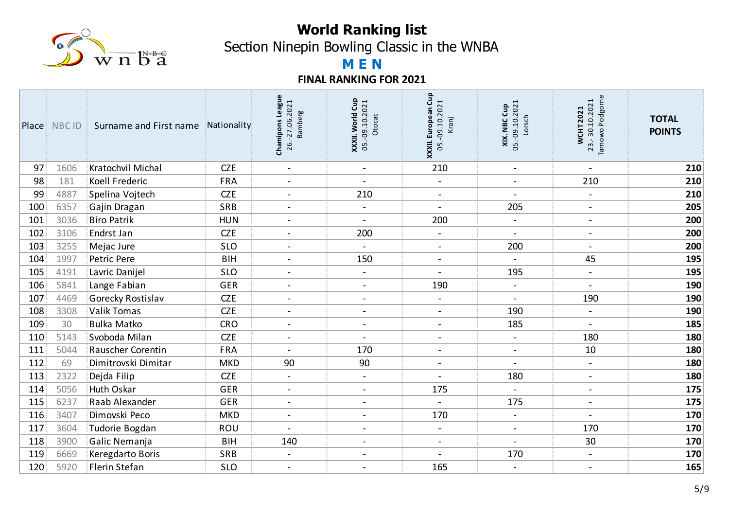

Section Ninepin Bowling Classic in the WNBA

# **M E N**

|                  | Place: NBC ID | Surname and First name | Nationality | Chamipons League<br>26.-27.06.2021<br><b>Bamberg</b> | Cup<br><b>XXXII. World Cup</b><br>05.-09.10.2021<br>Otocac | Gup<br><b>XXXII. European Cup</b><br>05.-09.10.2021<br>Kranj | <b>XIX. NBC Cup</b><br>05.-09.10.2021<br>Lorsch | Podgorne<br>23.-30.10.2021<br><b>WCHT2021</b><br><b>Tarnowo</b> | <b>TOTAL</b><br><b>POINTS</b> |
|------------------|---------------|------------------------|-------------|------------------------------------------------------|------------------------------------------------------------|--------------------------------------------------------------|-------------------------------------------------|-----------------------------------------------------------------|-------------------------------|
| 97               | 1606          | Kratochvil Michal      | <b>CZE</b>  | $\blacksquare$                                       | $\blacksquare$                                             | 210                                                          | $\blacksquare$                                  | $\blacksquare$                                                  | 210                           |
| 98               | 181           | Koell Frederic         | <b>FRA</b>  | $\overline{\phantom{a}}$                             | $\blacksquare$                                             | $\blacksquare$                                               | $\blacksquare$                                  | 210                                                             | 210                           |
| 99               | 4887          | Spelina Vojtech        | <b>CZE</b>  | $\blacksquare$                                       | 210                                                        | $\blacksquare$                                               | $\blacksquare$                                  | $\blacksquare$                                                  | 210                           |
| 100 <sub>1</sub> | 6357          | Gajin Dragan           | SRB         | $\blacksquare$                                       | $\blacksquare$                                             | $\blacksquare$                                               | 205                                             | $\blacksquare$                                                  | 205                           |
| 101              | 3036          | <b>Biro Patrik</b>     | <b>HUN</b>  | $\overline{\phantom{a}}$                             | $\blacksquare$                                             | 200                                                          | $\blacksquare$                                  | $\overline{\phantom{a}}$                                        | 200                           |
| 102              | 3106          | Endrst Jan             | <b>CZE</b>  | $\overline{a}$                                       | 200                                                        | $\blacksquare$                                               | $\blacksquare$                                  | $\overline{\phantom{a}}$                                        | 200                           |
| 103              | 3255          | Mejac Jure             | <b>SLO</b>  | $\blacksquare$                                       | $\blacksquare$                                             | $\blacksquare$                                               | 200                                             | $\blacksquare$                                                  | 200                           |
| 104              | 1997          | Petric Pere            | <b>BIH</b>  | $\overline{a}$                                       | 150                                                        | $\blacksquare$                                               | $\blacksquare$                                  | 45                                                              | 195                           |
| 105              | 4191          | Lavric Danijel         | <b>SLO</b>  | $\blacksquare$                                       | $\blacksquare$                                             | $\blacksquare$                                               | 195                                             | $\overline{\phantom{a}}$                                        | 195                           |
| 106              | 5841          | Lange Fabian           | <b>GER</b>  | $\overline{\phantom{a}}$                             | $\overline{\phantom{a}}$                                   | 190                                                          | $\blacksquare$                                  |                                                                 | 190                           |
| 107              | 4469          | Gorecky Rostislav      | <b>CZE</b>  | $\blacksquare$                                       | $\sim$                                                     | $\blacksquare$                                               | $\sim$                                          | 190                                                             | 190                           |
| 108              | 3308          | <b>Valik Tomas</b>     | <b>CZE</b>  | $\blacksquare$                                       | $\overline{\phantom{a}}$                                   | $\blacksquare$                                               | 190                                             | $\blacksquare$                                                  | 190                           |
| 109              | 30            | <b>Bulka Matko</b>     | <b>CRO</b>  | $\blacksquare$                                       | $\overline{\phantom{a}}$                                   | $\blacksquare$                                               | 185                                             | $\blacksquare$                                                  | 185                           |
| 110              | 5143          | Svoboda Milan          | <b>CZE</b>  | $\blacksquare$                                       |                                                            | $\blacksquare$                                               | $\blacksquare$                                  | 180                                                             | 180                           |
| 111              | 5044          | Rauscher Corentin      | <b>FRA</b>  | $\blacksquare$                                       | 170                                                        | $\blacksquare$                                               | $\blacksquare$                                  | 10                                                              | 180                           |
| 112              | 69            | Dimitrovski Dimitar    | <b>MKD</b>  | 90                                                   | 90                                                         | $\blacksquare$                                               |                                                 | $\blacksquare$                                                  | 180                           |
| 113              | 2322          | Dejda Filip            | <b>CZE</b>  | $\sim$                                               | $\blacksquare$                                             | $\blacksquare$                                               | 180                                             | $\overline{\phantom{a}}$                                        | 180                           |
| 114              | 5056          | <b>Huth Oskar</b>      | <b>GER</b>  | $\overline{\phantom{a}}$                             | $\blacksquare$                                             | 175                                                          | $\overline{\phantom{a}}$                        | $\blacksquare$                                                  | 175                           |
| 115              | 6237          | Raab Alexander         | <b>GER</b>  | $\blacksquare$                                       | $\blacksquare$                                             | $\blacksquare$                                               | 175                                             | $\overline{\phantom{a}}$                                        | 175                           |
| 116              | 3407          | Dimovski Peco          | <b>MKD</b>  | $\blacksquare$                                       | $\blacksquare$                                             | 170                                                          | $\blacksquare$                                  | $\blacksquare$                                                  | 170                           |
| 117              | 3604          | Tudorie Bogdan         | ROU         | $\overline{a}$                                       | $\blacksquare$                                             | $\blacksquare$                                               | $\blacksquare$                                  | 170                                                             | 170                           |
| 118              | 3900          | Galic Nemanja          | <b>BIH</b>  | 140                                                  | $\overline{\phantom{a}}$                                   | $\blacksquare$                                               | $\overline{\phantom{a}}$                        | 30                                                              | 170                           |
| 119              | 6669          | Keregdarto Boris       | SRB         | $\overline{\phantom{a}}$                             | $\overline{\phantom{a}}$                                   | $\overline{\phantom{a}}$                                     | 170                                             | $\overline{\phantom{a}}$                                        | 170                           |
| 120              | 5920          | Flerin Stefan          | <b>SLO</b>  | $\blacksquare$                                       | $\blacksquare$                                             | 165                                                          | $\blacksquare$                                  | $\overline{\phantom{a}}$                                        | 165                           |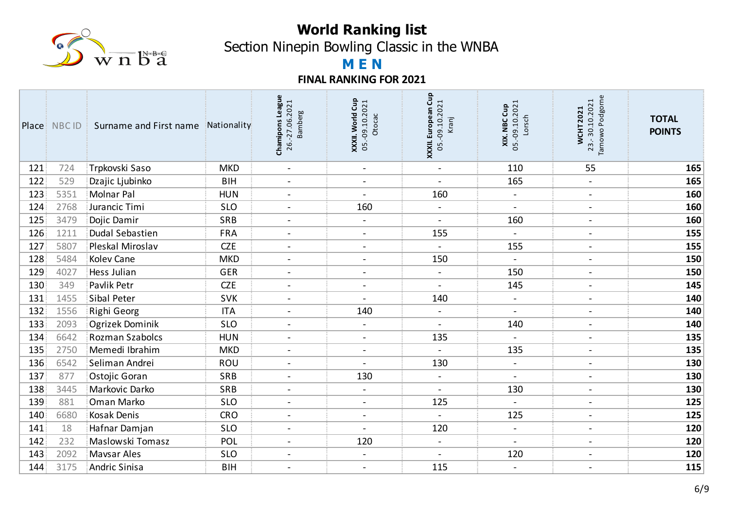

Section Ninepin Bowling Classic in the WNBA

# **M E N**

|     | Place: NBC ID | Surname and First name | Nationality | Chamipons League<br>26.-27.06.2021<br><b>Bamberg</b> | Cup<br>05.-09.10.2021<br>XXXII. World<br>Otocac | Gup<br>05.-09.10.2021<br>XXXII. European<br>Kranj | <b>XIX. NBC Cup</b><br>05.-09.10.2021<br>Lorsch | Podgorne<br>23.-30.10.2021<br><b>WCHT2021</b><br>Tarnowo | <b>TOTAL</b><br><b>POINTS</b> |
|-----|---------------|------------------------|-------------|------------------------------------------------------|-------------------------------------------------|---------------------------------------------------|-------------------------------------------------|----------------------------------------------------------|-------------------------------|
| 121 | 724           | Trpkovski Saso         | <b>MKD</b>  | $\blacksquare$                                       | $\blacksquare$                                  | $\blacksquare$                                    | 110                                             | 55                                                       | 165                           |
| 122 | 529           | Dzajic Ljubinko        | <b>BIH</b>  | $\overline{\phantom{a}}$                             | $\overline{\phantom{a}}$                        |                                                   | 165                                             | $\overline{\phantom{a}}$                                 | 165                           |
| 123 | 5351          | <b>Molnar Pal</b>      | <b>HUN</b>  | $\blacksquare$                                       | $\blacksquare$                                  | 160                                               | $\blacksquare$                                  | $\overline{\phantom{a}}$                                 | 160                           |
| 124 | 2768          | Jurancic Timi          | <b>SLO</b>  | $\overline{a}$                                       | 160                                             | $\blacksquare$                                    | $\blacksquare$                                  | $\blacksquare$                                           | 160                           |
| 125 | 3479          | Dojic Damir            | SRB         | $\blacksquare$                                       | $\blacksquare$                                  | $\blacksquare$                                    | 160                                             | $\blacksquare$                                           | 160                           |
| 126 | 1211          | Dudal Sebastien        | <b>FRA</b>  | $\blacksquare$                                       | $\blacksquare$                                  | 155                                               | $\blacksquare$                                  | $\blacksquare$                                           | 155                           |
| 127 | 5807          | Pleskal Miroslav       | <b>CZE</b>  | $\blacksquare$                                       | $\blacksquare$                                  | $\blacksquare$                                    | 155                                             | $\overline{\phantom{a}}$                                 | 155                           |
| 128 | 5484          | Kolev Cane             | <b>MKD</b>  | $\blacksquare$                                       | $\blacksquare$                                  | 150                                               | $\blacksquare$                                  | $\overline{\phantom{a}}$                                 | 150                           |
| 129 | 4027          | Hess Julian            | <b>GER</b>  | $\blacksquare$                                       | $\overline{\phantom{a}}$                        | $\blacksquare$                                    | 150                                             | $\overline{\phantom{a}}$                                 | 150                           |
| 130 | 349           | Pavlik Petr            | <b>CZE</b>  | $\sim$                                               | $\overline{a}$                                  | $\blacksquare$                                    | 145                                             | $\blacksquare$                                           | 145                           |
| 131 | 1455          | Sibal Peter            | <b>SVK</b>  | $\overline{\phantom{a}}$                             | $\blacksquare$                                  | 140                                               | $\blacksquare$                                  | $\blacksquare$                                           | 140                           |
| 132 | 1556          | Righi Georg            | <b>ITA</b>  |                                                      | 140                                             | $\overline{\phantom{a}}$                          |                                                 | $\overline{\phantom{a}}$                                 | 140                           |
| 133 | 2093          | Ogrizek Dominik        | <b>SLO</b>  | $\blacksquare$                                       | $\blacksquare$                                  | $\blacksquare$                                    | 140                                             | $\overline{\phantom{a}}$                                 | 140                           |
| 134 | 6642          | <b>Rozman Szabolcs</b> | <b>HUN</b>  | $\sim$                                               | $\blacksquare$                                  | 135                                               | $\blacksquare$                                  | $\overline{\phantom{a}}$                                 | 135                           |
| 135 | 2750          | Memedi Ibrahim         | <b>MKD</b>  | $\blacksquare$                                       | $\overline{\phantom{a}}$                        | $\blacksquare$                                    | 135                                             | $\overline{\phantom{a}}$                                 | 135                           |
| 136 | 6542          | Seliman Andrei         | ROU         | $\overline{\phantom{a}}$                             |                                                 | 130                                               | $\qquad \qquad -$                               | $\qquad \qquad$                                          | 130                           |
| 137 | 877           | Ostojic Goran          | SRB         | $\blacksquare$                                       | 130                                             | $\blacksquare$                                    | $\blacksquare$                                  | $\overline{\phantom{a}}$                                 | 130                           |
| 138 | 3445          | Markovic Darko         | SRB         | $\overline{\phantom{a}}$                             |                                                 | $\blacksquare$                                    | 130                                             | $\blacksquare$                                           | 130                           |
| 139 | 881           | Oman Marko             | <b>SLO</b>  | $\overline{\phantom{a}}$                             | $\overline{\phantom{a}}$                        | 125                                               | $\blacksquare$                                  | $\overline{\phantom{a}}$                                 | 125                           |
| 140 | 6680          | <b>Kosak Denis</b>     | <b>CRO</b>  | $\blacksquare$                                       | $\blacksquare$                                  | $\overline{\phantom{a}}$                          | 125                                             | $\overline{\phantom{a}}$                                 | 125                           |
| 141 | 18            | Hafnar Damjan          | <b>SLO</b>  | $\overline{\phantom{a}}$                             |                                                 | 120                                               | $\blacksquare$                                  | $\blacksquare$                                           | 120                           |
| 142 | 232           | Maslowski Tomasz       | POL         | $\blacksquare$                                       | 120                                             | $\blacksquare$                                    | $\blacksquare$                                  | $\overline{\phantom{a}}$                                 | 120                           |
| 143 | 2092          | <b>Mavsar Ales</b>     | <b>SLO</b>  | $\blacksquare$                                       | $\blacksquare$                                  | $\overline{a}$                                    | 120                                             | $\blacksquare$                                           | 120                           |
| 144 | 3175          | <b>Andric Sinisa</b>   | <b>BIH</b>  | $\overline{\phantom{a}}$                             | $\overline{\phantom{a}}$                        | 115                                               | $\overline{\phantom{a}}$                        | $\overline{\phantom{a}}$                                 | 115                           |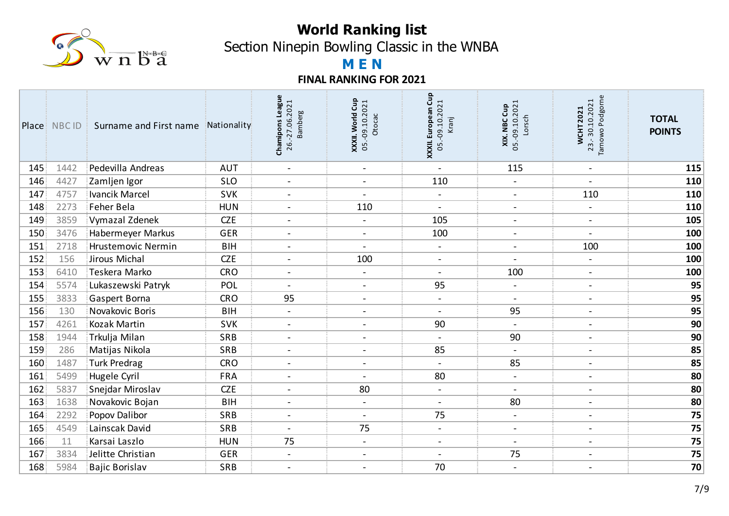

Section Ninepin Bowling Classic in the WNBA

# **M E N**

|                  | <b>Place</b> NBC ID | Surname and First name | Nationality | Chamipons League<br>26.-27.06.2021<br><b>Bamberg</b> | Cup<br>05.-09.10.2021<br>XXXII. World<br>Otocac | Gup<br><b>XXXII. European Cup</b><br>05.-09.10.2021<br>Kranj | <b>XIX. NBC Cup</b><br>05.-09.10.2021<br>Lorsch | Podgorne<br>23.-30.10.2021<br><b>WCHT2021</b><br>Tarnowo I | <b>TOTAL</b><br><b>POINTS</b> |
|------------------|---------------------|------------------------|-------------|------------------------------------------------------|-------------------------------------------------|--------------------------------------------------------------|-------------------------------------------------|------------------------------------------------------------|-------------------------------|
| 145              | 1442                | Pedevilla Andreas      | <b>AUT</b>  | $\blacksquare$                                       | $\blacksquare$                                  | $\overline{a}$                                               | 115                                             | $\blacksquare$                                             | 115                           |
| 146              | 4427                | Zamljen Igor           | <b>SLO</b>  | $\overline{\phantom{a}}$                             | $\blacksquare$                                  | 110                                                          | $\blacksquare$                                  |                                                            | 110                           |
| 147              | 4757                | Ivancik Marcel         | <b>SVK</b>  | $\blacksquare$                                       | $\blacksquare$                                  | $\blacksquare$                                               | $\blacksquare$                                  | 110                                                        | 110                           |
| 148              | 2273                | Feher Bela             | <b>HUN</b>  | $\overline{\phantom{a}}$                             | 110                                             | $\overline{\phantom{a}}$                                     | $\overline{\phantom{a}}$                        | $\blacksquare$                                             | 110                           |
| 149              | 3859                | Vymazal Zdenek         | <b>CZE</b>  | $\overline{a}$                                       | $\blacksquare$                                  | 105                                                          | $\overline{\phantom{a}}$                        | $\blacksquare$                                             | 105                           |
| 150 <sup>3</sup> | 3476                | Habermeyer Markus      | <b>GER</b>  | $\overline{a}$                                       | $\overline{a}$                                  | 100                                                          | $\sim$                                          |                                                            | 100                           |
| 151              | 2718                | Hrustemovic Nermin     | <b>BIH</b>  | $\blacksquare$                                       | $\blacksquare$                                  | $\blacksquare$                                               | $\blacksquare$                                  | 100                                                        | 100                           |
| 152              | 156                 | Jirous Michal          | <b>CZE</b>  | $\overline{a}$                                       | 100                                             | $\overline{\phantom{a}}$                                     |                                                 |                                                            | 100                           |
| 153              | 6410                | Teskera Marko          | <b>CRO</b>  | $\blacksquare$                                       | $\blacksquare$                                  | $\overline{\phantom{a}}$                                     | 100                                             | $\overline{\phantom{a}}$                                   | 100                           |
| 154              | 5574                | Lukaszewski Patryk     | POL         |                                                      | $\overline{a}$                                  | 95                                                           | $\blacksquare$                                  | $\blacksquare$                                             | 95                            |
| 155              | 3833                | Gaspert Borna          | <b>CRO</b>  | 95                                                   | $\overline{\phantom{0}}$                        | $\blacksquare$                                               | $\blacksquare$                                  | $\overline{\phantom{a}}$                                   | 95                            |
| 156              | 130                 | Novakovic Boris        | <b>BIH</b>  |                                                      |                                                 | $\blacksquare$                                               | 95                                              | $\qquad \qquad \blacksquare$                               | 95                            |
| 157              | 4261                | <b>Kozak Martin</b>    | SVK         | $\overline{\phantom{a}}$                             | $\blacksquare$                                  | 90                                                           | $\blacksquare$                                  | $\blacksquare$                                             | 90                            |
| 158              | 1944                | Trkulja Milan          | SRB         | $\overline{\phantom{a}}$                             | $\overline{\phantom{a}}$                        | $\overline{\phantom{a}}$                                     | 90                                              | $\blacksquare$                                             | 90                            |
| 159              | 286                 | Matijas Nikola         | SRB         | $\overline{a}$                                       | $\overline{\phantom{a}}$                        | 85                                                           | $\blacksquare$                                  | $\blacksquare$                                             | 85                            |
| 160              | 1487                | <b>Turk Predrag</b>    | <b>CRO</b>  |                                                      | $\overline{\phantom{a}}$                        | $\overline{\phantom{a}}$                                     | 85                                              | $\overline{a}$                                             | 85                            |
| 161              | 5499                | Hugele Cyril           | <b>FRA</b>  | $\overline{\phantom{a}}$                             | $\blacksquare$                                  | 80                                                           | $\blacksquare$                                  | $\blacksquare$                                             | 80                            |
| 162              | 5837                | Snejdar Miroslav       | <b>CZE</b>  | $\overline{\phantom{a}}$                             | 80                                              | $\overline{\phantom{a}}$                                     | $\blacksquare$                                  | $\blacksquare$                                             | 80                            |
| 163              | 1638                | Novakovic Bojan        | <b>BIH</b>  | $\overline{a}$                                       | $\blacksquare$                                  | $\overline{\phantom{a}}$                                     | 80                                              | $\overline{\phantom{a}}$                                   | 80                            |
| 164              | 2292                | Popov Dalibor          | SRB         | $\overline{\phantom{a}}$                             | $\blacksquare$                                  | 75                                                           | $\blacksquare$                                  | $\blacksquare$                                             | 75                            |
| 165              | 4549                | Lainscak David         | SRB         | $\overline{\phantom{a}}$                             | 75                                              | $\blacksquare$                                               | $\blacksquare$                                  | $\blacksquare$                                             | 75                            |
| 166              | 11                  | Karsai Laszlo          | <b>HUN</b>  | 75                                                   | $\overline{\phantom{a}}$                        | $\blacksquare$                                               | $\blacksquare$                                  | $\overline{\phantom{a}}$                                   | 75                            |
| 167              | 3834                | Jelitte Christian      | <b>GER</b>  | $\overline{\phantom{a}}$                             | $\overline{a}$                                  | $\sim$                                                       | 75                                              | $\overline{\phantom{a}}$                                   | 75                            |
| 168              | 5984                | <b>Bajic Borislav</b>  | SRB         | $\blacksquare$                                       | $\blacksquare$                                  | 70                                                           | $\overline{\phantom{a}}$                        | $\blacksquare$                                             | 70                            |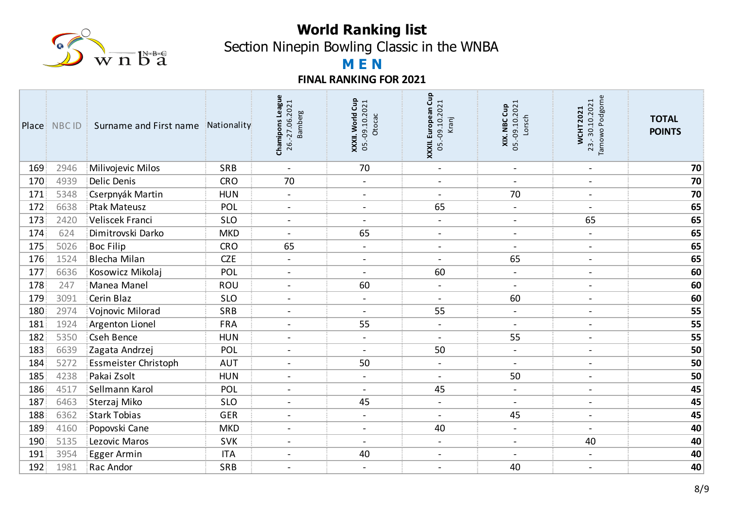

Section Ninepin Bowling Classic in the WNBA

# **M E N**

|     | Place NBC ID | Surname and First name | Nationality | Chamipons League<br>26.-27.06.2021<br><b>Bamberg</b> | Cup<br><b>XXXII. World Cup</b><br>05.-09.10.2021<br>Otocac | XXXII. European Cup<br>05.-09.10.2021<br>Kranj | <b>XIX. NBC Cup</b><br>05.-09.10.2021<br>Lorsch | Podgorne<br>23.-30.10.2021<br><b>WCHT2021</b><br>lowo<br>Tarn | <b>TOTAL</b><br><b>POINTS</b> |
|-----|--------------|------------------------|-------------|------------------------------------------------------|------------------------------------------------------------|------------------------------------------------|-------------------------------------------------|---------------------------------------------------------------|-------------------------------|
| 169 | 2946         | Milivojevic Milos      | SRB         | $\blacksquare$                                       | 70                                                         | $\blacksquare$                                 | $\blacksquare$                                  | $\overline{\phantom{a}}$                                      | 70                            |
| 170 | 4939         | <b>Delic Denis</b>     | <b>CRO</b>  | 70                                                   | $\blacksquare$                                             | $\blacksquare$                                 | $\blacksquare$                                  | $\blacksquare$                                                | 70                            |
| 171 | 5348         | Cserpnyák Martin       | <b>HUN</b>  | $\blacksquare$                                       | $\blacksquare$                                             | $\blacksquare$                                 | 70                                              | $\overline{\phantom{a}}$                                      | 70                            |
| 172 | 6638         | <b>Ptak Mateusz</b>    | POL         | $\overline{a}$                                       | $\sim$                                                     | 65                                             | $\sim$                                          | $\overline{\phantom{a}}$                                      | 65                            |
| 173 | 2420         | Veliscek Franci        | <b>SLO</b>  | $\blacksquare$                                       | $\blacksquare$                                             | $\blacksquare$                                 | $\blacksquare$                                  | 65                                                            | 65                            |
| 174 | 624          | Dimitrovski Darko      | <b>MKD</b>  |                                                      | 65                                                         | $\blacksquare$                                 | $\blacksquare$                                  | $\qquad \qquad \blacksquare$                                  | 65                            |
| 175 | 5026         | <b>Boc Filip</b>       | <b>CRO</b>  | 65                                                   | $\overline{a}$                                             | $\overline{\phantom{a}}$                       | $\blacksquare$                                  | $\blacksquare$                                                | 65                            |
| 176 | 1524         | <b>Blecha Milan</b>    | <b>CZE</b>  |                                                      | $\blacksquare$                                             | $\blacksquare$                                 | 65                                              | $\overline{\phantom{a}}$                                      | 65                            |
| 177 | 6636         | Kosowicz Mikolaj       | POL         | $\blacksquare$                                       | $\blacksquare$                                             | 60                                             | $\blacksquare$                                  | $\overline{\phantom{a}}$                                      | 60                            |
| 178 | 247          | Manea Manel            | ROU         | $\blacksquare$                                       | 60                                                         | $\overline{\phantom{a}}$                       | $\blacksquare$                                  | $\blacksquare$                                                | 60                            |
| 179 | 3091         | Cerin Blaz             | <b>SLO</b>  | $\blacksquare$                                       |                                                            | $\blacksquare$                                 | 60                                              | $\overline{\phantom{a}}$                                      | 60                            |
| 180 | 2974         | Vojnovic Milorad       | SRB         |                                                      |                                                            | 55                                             | $\blacksquare$                                  | $\blacksquare$                                                | 55                            |
| 181 | 1924         | <b>Argenton Lionel</b> | <b>FRA</b>  |                                                      | 55                                                         | $\blacksquare$                                 | $\overline{\phantom{a}}$                        | $\overline{\phantom{a}}$                                      | 55                            |
| 182 | 5350         | <b>Cseh Bence</b>      | <b>HUN</b>  | $\blacksquare$                                       | $\blacksquare$                                             | $\blacksquare$                                 | 55                                              | $\overline{\phantom{a}}$                                      | 55                            |
| 183 | 6639         | Zagata Andrzej         | POL         | $\blacksquare$                                       | $\overline{\phantom{a}}$                                   | 50                                             | $\blacksquare$                                  | $\blacksquare$                                                | 50                            |
| 184 | 5272         | Essmeister Christoph   | <b>AUT</b>  | $\blacksquare$                                       | 50                                                         | $\blacksquare$                                 | $\blacksquare$                                  | $\overline{\phantom{a}}$                                      | 50                            |
| 185 | 4238         | Pakai Zsolt            | <b>HUN</b>  | $\overline{\phantom{a}}$                             | $\blacksquare$                                             | $\blacksquare$                                 | 50                                              | $\overline{\phantom{a}}$                                      | 50                            |
| 186 | 4517         | Sellmann Karol         | POL         | $\overline{\phantom{a}}$                             | $\blacksquare$                                             | 45                                             | $\blacksquare$                                  | $\overline{\phantom{a}}$                                      | 45                            |
| 187 | 6463         | Sterzaj Miko           | <b>SLO</b>  | $\overline{\phantom{a}}$                             | 45                                                         | $\overline{\phantom{a}}$                       | $\blacksquare$                                  | $\overline{\phantom{a}}$                                      | 45                            |
| 188 | 6362         | <b>Stark Tobias</b>    | <b>GER</b>  | $\blacksquare$                                       | $\overline{\phantom{0}}$                                   | $\overline{\phantom{a}}$                       | 45                                              | $\overline{\phantom{a}}$                                      | 45                            |
| 189 | 4160         | Popovski Cane          | <b>MKD</b>  | $\overline{a}$                                       | $\sim$                                                     | 40                                             | $\blacksquare$                                  |                                                               | 40                            |
| 190 | 5135         | Lezovic Maros          | <b>SVK</b>  | $\blacksquare$                                       | $\blacksquare$                                             | $\blacksquare$                                 | $\blacksquare$                                  | 40                                                            | 40                            |
| 191 | 3954         | <b>Egger Armin</b>     | <b>ITA</b>  | $\blacksquare$                                       | 40                                                         | $\overline{\phantom{a}}$                       | $\blacksquare$                                  | $\overline{\phantom{a}}$                                      | 40                            |
| 192 | 1981         | Rac Andor              | SRB         | $\overline{\phantom{a}}$                             |                                                            | $\overline{\phantom{a}}$                       | 40                                              | $\qquad \qquad$                                               | 40                            |